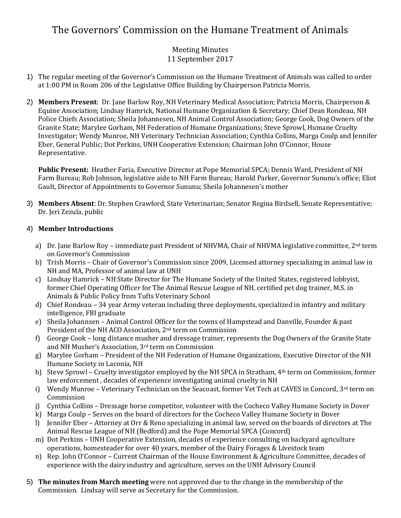# The Governors' Commission on the Humane Treatment of Animals

## Meeting Minutes 11 September 2017

- 1) The regular meeting of the Governor's Commission on the Humane Treatment of Animals was called to order at 1:00 PM in Room 206 of the Legislative Office Building by Chairperson Patricia Morris.
- 2) **Members Present**: Dr. Jane Barlow Roy, NH Veterinary Medical Association; Patricia Morris, Chairperson & Equine Association; Lindsay Hamrick, National Humane Organization & Secretary; Chief Dean Rondeau, NH Police Chiefs Association; Sheila Johannesen, NH Animal Control Association; George Cook, Dog Owners of the Granite State; Marylee Gorham, NH Federation of Humane Organizations; Steve Sprowl, Humane Cruelty Investigator; Wendy Munroe, NH Veterinary Technician Association; Cynthia Collins, Marga Coulp and Jennifer Eber, General Public; Dot Perkins, UNH Cooperative Extension; Chairman John O'Connor, House Representative.

**Public Present:** Heather Faria, Executive Director at Pope Memorial SPCA; Dennis Ward, President of NH Farm Bureau; Rob Johnson, legislative aide to NH Farm Bureau; Harold Parker, Governor Sununu's office; Eliot Gault, Director of Appointments to Governor Sununu; Sheila Johannesen's mother

3) **Members Absent**: Dr. Stephen Crawford, State Veterinarian; Senator Regina Birdsell, Senate Representative; Dr. Jeri Zezula, public

## 4) **Member Introductions**

- a) Dr. Jane Barlow Roy immediate past President of NHVMA, Chair of NHVMA legislative committee,  $2^{nd}$  term on Governor's Commission
- b) Trish Morris Chair of Governor's Commission since 2009, Licensed attorney specializing in animal law in NH and MA, Professor of animal law at UNH
- c) Lindsay Hamrick NH State Director for The Humane Society of the United States, registered lobbyist, former Chief Operating Officer for The Animal Rescue League of NH, certified pet dog trainer, M.S. in Animals & Public Policy from Tufts Veterinary School
- d) Chief Rondeau 34 year Army veteran including three deployments, specialized in infantry and military intelligence, FBI graduate
- e) Sheila Johannsen Animal Control Officer for the towns of Hampstead and Danville, Founder & past President of the NH ACO Association, 2nd term on Commission
- f) George Cook long distance musher and dressage trainer, represents the Dog Owners of the Granite State and NH Musher's Association, 3rd term on Commission
- g) Marylee Gorham President of the NH Federation of Humane Organizations, Executive Director of the NH Humane Society in Laconia, NH
- h) Steve Sprowl Cruelty investigator employed by the NH SPCA in Stratham, 4th term on Commission, former law enforcement , decades of experience investigating animal cruelty in NH
- i) Wendy Munroe Veterinary Technician on the Seacoast, former Vet Tech at CAVES in Concord,  $3^{rd}$  term on Commission
- j) Cynthia Collins Dressage horse competitor, volunteer with the Cocheco Valley Humane Society in Dover
- k) Marga Coulp Serves on the board of directors for the Cocheco Valley Humane Society in Dover
- l) Jennifer Eber Attorney at Orr & Reno specializing in animal law, served on the boards of directors at The Animal Rescue League of NH (Bedford) and the Pope Memorial SPCA (Concord)
- m) Dot Perkins UNH Cooperative Extension, decades of experience consulting on backyard agriculture operations, homesteader for over 40 years, member of the Dairy Forages & Livestock team
- n) Rep. John O'Connor Current Chairman of the House Environment & Agriculture Committee, decades of experience with the dairy industry and agriculture, serves on the UNH Advisory Council
- 5) **The minutes from March meeting** were not approved due to the change in the membership of the Commission. Lindsay will serve as Secretary for the Commission.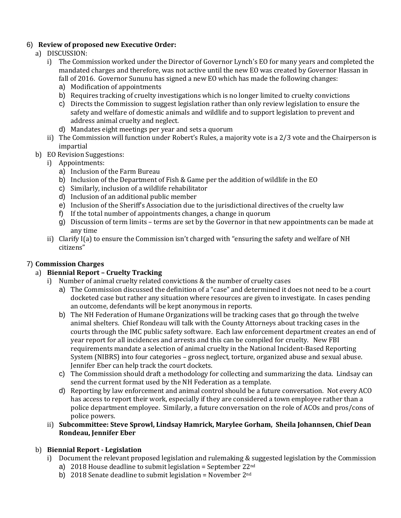#### 6) **Review of proposed new Executive Order:**

- a) DISCUSSION:
	- i) The Commission worked under the Director of Governor Lynch's EO for many years and completed the mandated charges and therefore, was not active until the new EO was created by Governor Hassan in fall of 2016. Governor Sununu has signed a new EO which has made the following changes:
		- a) Modification of appointments
		- b) Requires tracking of cruelty investigations which is no longer limited to cruelty convictions
		- c) Directs the Commission to suggest legislation rather than only review legislation to ensure the safety and welfare of domestic animals and wildlife and to support legislation to prevent and address animal cruelty and neglect.
		- d) Mandates eight meetings per year and sets a quorum
	- ii) The Commission will function under Robert's Rules, a majority vote is a 2/3 vote and the Chairperson is impartial
- b) EO Revision Suggestions:
	- i) Appointments:
		- a) Inclusion of the Farm Bureau
		- b) Inclusion of the Department of Fish & Game per the addition of wildlife in the EO
		- c) Similarly, inclusion of a wildlife rehabilitator
		- d) Inclusion of an additional public member
		- e) Inclusion of the Sheriff's Association due to the jurisdictional directives of the cruelty law
		- f) If the total number of appointments changes, a change in quorum
		- g) Discussion of term limits terms are set by the Governor in that new appointments can be made at any time
	- ii) Clarify I(a) to ensure the Commission isn't charged with "ensuring the safety and welfare of NH citizens"

## 7) **Commission Charges**

## a) **Biennial Report – Cruelty Tracking**

- i) Number of animal cruelty related convictions & the number of cruelty cases
	- a) The Commission discussed the definition of a "case" and determined it does not need to be a court docketed case but rather any situation where resources are given to investigate. In cases pending an outcome, defendants will be kept anonymous in reports.
	- b) The NH Federation of Humane Organizations will be tracking cases that go through the twelve animal shelters. Chief Rondeau will talk with the County Attorneys about tracking cases in the courts through the IMC public safety software. Each law enforcement department creates an end of year report for all incidences and arrests and this can be compiled for cruelty. New FBI requirements mandate a selection of animal cruelty in the National Incident-Based Reporting System (NIBRS) into four categories – gross neglect, torture, organized abuse and sexual abuse. Jennifer Eber can help track the court dockets.
	- c) The Commission should draft a methodology for collecting and summarizing the data. Lindsay can send the current format used by the NH Federation as a template.
	- d) Reporting by law enforcement and animal control should be a future conversation. Not every ACO has access to report their work, especially if they are considered a town employee rather than a police department employee. Similarly, a future conversation on the role of ACOs and pros/cons of police powers.
- ii) **Subcommittee: Steve Sprowl, Lindsay Hamrick, Marylee Gorham, Sheila Johannsen, Chief Dean Rondeau, Jennifer Eber**

## b) **Biennial Report - Legislation**

- i) Document the relevant proposed legislation and rulemaking & suggested legislation by the Commission
	- a) 2018 House deadline to submit legislation = September  $22^{nd}$
	- b) 2018 Senate deadline to submit legislation = November  $2<sup>nd</sup>$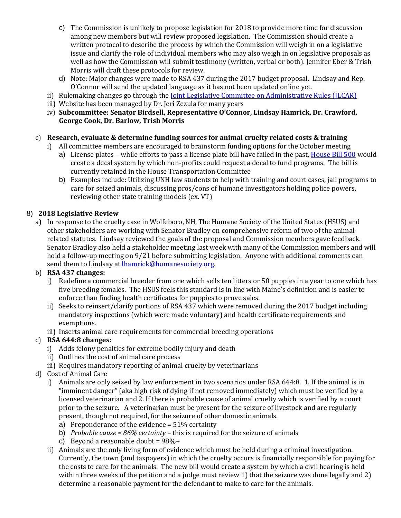- c) The Commission is unlikely to propose legislation for 2018 to provide more time for discussion among new members but will review proposed legislation. The Commission should create a written protocol to describe the process by which the Commission will weigh in on a legislative issue and clarify the role of individual members who may also weigh in on legislative proposals as well as how the Commission will submit testimony (written, verbal or both). Jennifer Eber & Trish Morris will draft these protocols for review.
- d) Note: Major changes were made to RSA 437 during the 2017 budget proposal. Lindsay and Rep. O'Connor will send the updated language as it has not been updated online yet.
- ii) Rulemaking changes go through the <u>Joint Legislative Committee on Administrative Rules (JLCAR)</u>
- iii) Website has been managed by Dr. Jeri Zezula for many years
- iv) **Subcommittee: Senator Birdsell, Representative O'Connor, Lindsay Hamrick, Dr. Crawford, George Cook, Dr. Barlow, Trish Morris**

## c) **Research, evaluate & determine funding sources for animal cruelty related costs & training**

- i) All committee members are encouraged to brainstorm funding options for the October meeting
	- a) License plates while efforts to pass a license plate bill have failed in the past, [House Bill 500](http://gencourt.state.nh.us/bill_status/billText.aspx?sy=2017&id=501&txtFormat=pdf&v=current) would create a decal system by which non-profits could request a decal to fund programs. The bill is currently retained in the House Transportation Committee
	- b) Examples include: Utilizing UNH law students to help with training and court cases, jail programs to care for seized animals, discussing pros/cons of humane investigators holding police powers, reviewing other state training models (ex. VT)

## 8) **2018 Legislative Review**

a) In response to the cruelty case in Wolfeboro, NH, The Humane Society of the United States (HSUS) and other stakeholders are working with Senator Bradley on comprehensive reform of two of the animalrelated statutes. Lindsay reviewed the goals of the proposal and Commission members gave feedback. Senator Bradley also held a stakeholder meeting last week with many of the Commission members and will hold a follow-up meeting on 9/21 before submitting legislation. Anyone with additional comments can send them to Lindsay at **lhamrick@humanesociety.org**.

## b) **RSA 437 changes:**

- i) Redefine a commercial breeder from one which sells ten litters or 50 puppies in a year to one which has five breeding females. The HSUS feels this standard is in line with Maine's definition and is easier to enforce than finding health certificates for puppies to prove sales.
- ii) Seeks to reinsert/clarify portions of RSA 437 which were removed during the 2017 budget including mandatory inspections (which were made voluntary) and health certificate requirements and exemptions.
- iii) Inserts animal care requirements for commercial breeding operations

## c) **RSA 644:8 changes:**

- i) Adds felony penalties for extreme bodily injury and death
- ii) Outlines the cost of animal care process
- iii) Requires mandatory reporting of animal cruelty by veterinarians
- d) Cost of Animal Care
	- i) Animals are only seized by law enforcement in two scenarios under RSA 644:8. 1. If the animal is in "imminent danger" (aka high risk of dying if not removed immediately) which must be verified by a licensed veterinarian and 2. If there is probable cause of animal cruelty which is verified by a court prior to the seizure. A veterinarian must be present for the seizure of livestock and are regularly present, though not required, for the seizure of other domestic animals.
		- a) Preponderance of the evidence = 51% certainty
		- b) *Probable cause = 86% certainty* this is required for the seizure of animals
		- c) Beyond a reasonable doubt =  $98\% +$
	- ii) Animals are the only living form of evidence which must be held during a criminal investigation. Currently, the town (and taxpayers) in which the cruelty occurs is financially responsible for paying for the costs to care for the animals. The new bill would create a system by which a civil hearing is held within three weeks of the petition and a judge must review 1) that the seizure was done legally and 2) determine a reasonable payment for the defendant to make to care for the animals.